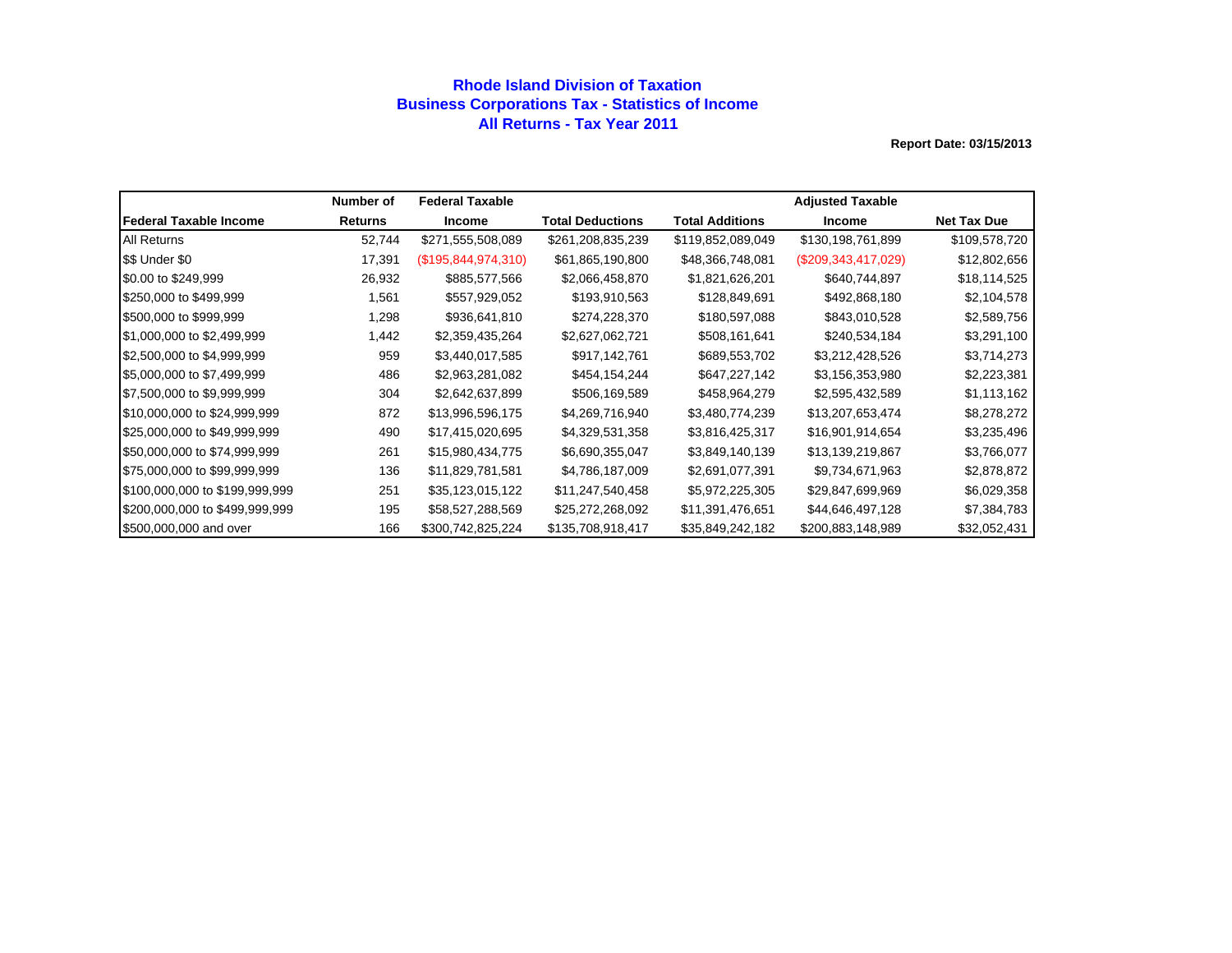### **Rhode Island Division of Taxation Business Corporations Tax - Statistics of Income All Returns - Tax Year 2011**

|                                | Number of      | <b>Federal Taxable</b> |                         |                   | <b>Adjusted Taxable</b> |                    |
|--------------------------------|----------------|------------------------|-------------------------|-------------------|-------------------------|--------------------|
| lFederal Taxable Income        | <b>Returns</b> | <b>Income</b>          | <b>Total Deductions</b> | Total Additions   | <b>Income</b>           | <b>Net Tax Due</b> |
| <b>All Returns</b>             | 52,744         | \$271,555,508,089      | \$261,208,835,239       | \$119,852,089,049 | \$130,198,761,899       | \$109,578,720      |
| \$\$ Under \$0                 | 17,391         | (\$195,844,974,310)    | \$61,865,190,800        | \$48,366,748,081  | $(\$209,343,417,029)$   | \$12,802,656       |
| \$0.00 to \$249,999            | 26,932         | \$885,577,566          | \$2,066,458,870         | \$1,821,626,201   | \$640,744,897           | \$18,114,525       |
| \$250,000 to \$499,999         | 1,561          | \$557,929,052          | \$193,910,563           | \$128,849,691     | \$492,868,180           | \$2,104,578        |
| \$500,000 to \$999,999         | 1,298          | \$936,641,810          | \$274,228,370           | \$180,597,088     | \$843,010,528           | \$2,589,756        |
| \$1,000,000 to \$2,499,999     | 1,442          | \$2,359,435,264        | \$2,627,062,721         | \$508,161,641     | \$240,534,184           | \$3,291,100        |
| \$2,500,000 to \$4,999,999     | 959            | \$3,440,017,585        | \$917,142,761           | \$689,553,702     | \$3,212,428,526         | \$3,714,273        |
| \$5,000,000 to \$7,499,999     | 486            | \$2,963,281,082        | \$454,154,244           | \$647,227,142     | \$3,156,353,980         | \$2,223,381        |
| \$7,500,000 to \$9,999,999     | 304            | \$2,642,637,899        | \$506,169,589           | \$458,964,279     | \$2,595,432,589         | \$1,113,162        |
| \$10,000,000 to \$24,999,999   | 872            | \$13,996,596,175       | \$4,269,716,940         | \$3,480,774,239   | \$13,207,653,474        | \$8,278,272        |
| \$25,000,000 to \$49,999,999   | 490            | \$17,415,020,695       | \$4,329,531,358         | \$3,816,425,317   | \$16,901,914,654        | \$3,235,496        |
| \$50,000,000 to \$74,999,999   | 261            | \$15,980,434,775       | \$6,690,355,047         | \$3,849,140,139   | \$13,139,219,867        | \$3,766,077        |
| \$75,000,000 to \$99,999,999   | 136            | \$11,829,781,581       | \$4,786,187,009         | \$2,691,077,391   | \$9,734,671,963         | \$2,878,872        |
| \$100,000,000 to \$199,999,999 | 251            | \$35,123,015,122       | \$11,247,540,458        | \$5,972,225,305   | \$29,847,699,969        | \$6,029,358        |
| \$200,000,000 to \$499,999,999 | 195            | \$58,527,288,569       | \$25,272,268,092        | \$11,391,476,651  | \$44,646,497,128        | \$7,384,783        |
| \$500,000,000 and over         | 166            | \$300,742,825,224      | \$135,708,918,417       | \$35,849,242,182  | \$200,883,148,989       | \$32,052,431       |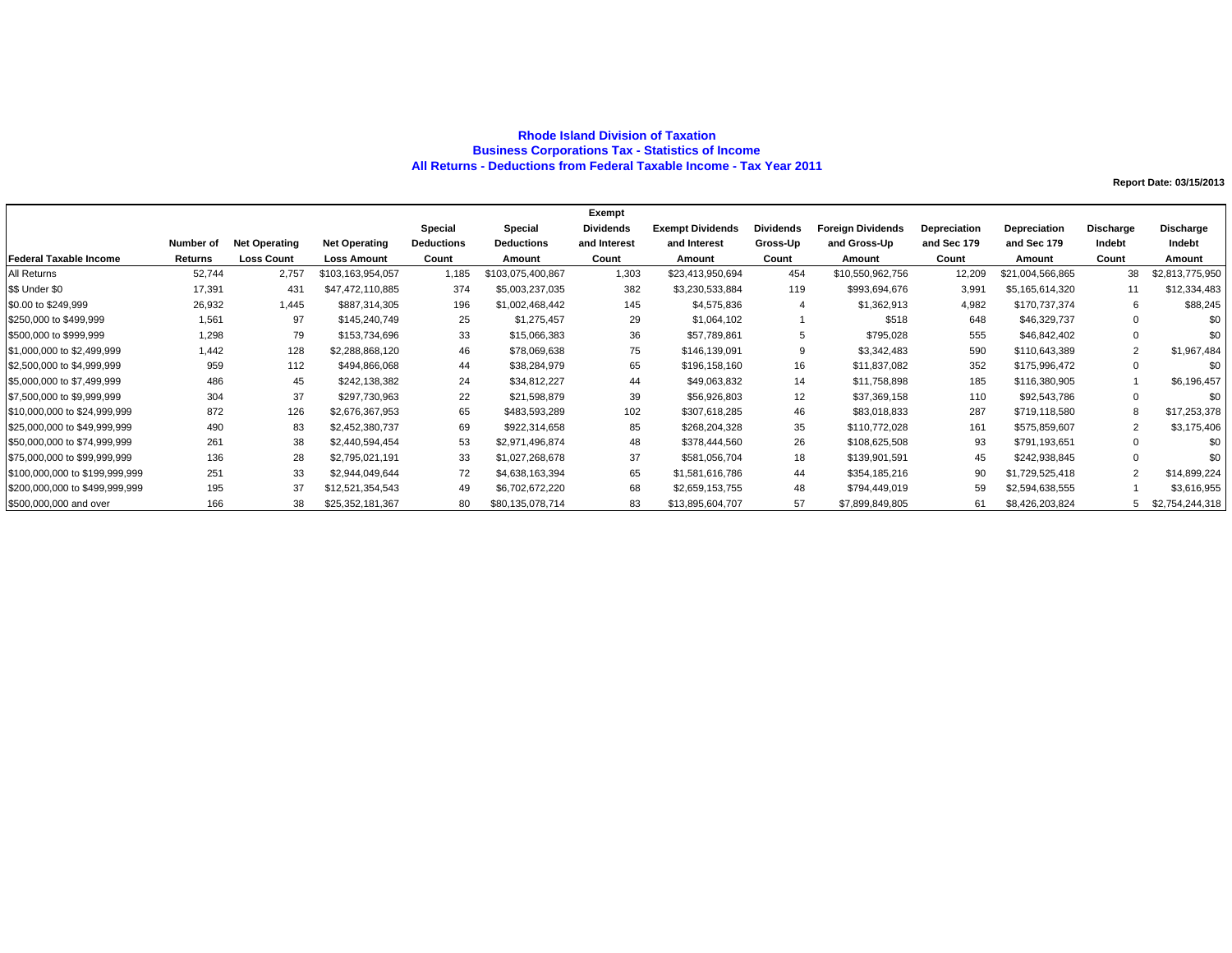#### **Rhode Island Division of Taxation Business Corporations Tax - Statistics of Income All Returns - Deductions from Federal Taxable Income - Tax Year 2011**

|                                |           |                      |                      |                   |                   | Exempt       |                         |                  |                          |              |                  |                |                 |
|--------------------------------|-----------|----------------------|----------------------|-------------------|-------------------|--------------|-------------------------|------------------|--------------------------|--------------|------------------|----------------|-----------------|
|                                |           |                      |                      | Special           | Special           | Dividends    | <b>Exempt Dividends</b> | <b>Dividends</b> | <b>Foreign Dividends</b> | Depreciation | Depreciation     | Discharge      | Discharge       |
|                                | Number of | <b>Net Operating</b> | <b>Net Operating</b> | <b>Deductions</b> | <b>Deductions</b> | and Interest | and Interest            | Gross-Up         | and Gross-Up             | and Sec 179  | and Sec 179      | Indebt         | Indebt          |
| <b>Federal Taxable Income</b>  | Returns   | <b>Loss Count</b>    | <b>Loss Amount</b>   | Count             | Amount            | Count        | Amount                  | Count            | Amount                   | Count        | Amount           | Count          | Amount          |
| All Returns                    | 52,744    | 2,757                | \$103,163,954,057    | 1,185             | \$103,075,400,867 | 1,303        | \$23,413,950,694        | 454              | \$10,550,962,756         | 12,209       | \$21,004,566,865 | 38             | \$2,813,775,950 |
| \$\$ Under \$0                 | 17,391    | 431                  | \$47,472,110,885     | 374               | \$5,003,237,035   | 382          | \$3,230,533,884         | 119              | \$993,694,676            | 3,991        | \$5,165,614,320  | 11             | \$12,334,483    |
| \$0.00 to \$249,999            | 26,932    | 1,445                | \$887,314,305        | 196               | \$1,002,468,442   | 145          | \$4,575,836             |                  | \$1,362,913              | 4,982        | \$170,737,374    | 6              | \$88,245        |
| \$250,000 to \$499,999         | 1,561     | 97                   | \$145,240,749        | 25                | \$1,275,457       | 29           | \$1,064,102             |                  | \$518                    | 648          | \$46,329,737     | $\Omega$       |                 |
| \$500,000 to \$999,999         | 1,298     | 79                   | \$153,734,696        | 33                | \$15,066,383      | 36           | \$57,789,861            | 5                | \$795,028                | 555          | \$46,842,402     | $\Omega$       |                 |
| \$1,000,000 to \$2,499,999     | 1.442     | 128                  | \$2,288,868,120      | 46                | \$78,069,638      | 75           | \$146,139,091           | 9                | \$3,342,483              | 590          | \$110,643,389    | $\overline{2}$ | \$1,967,484     |
| \$2,500,000 to \$4,999,999     | 959       | 112                  | \$494,866,068        | 44                | \$38,284,979      | 65           | \$196,158,160           | 16               | \$11,837,082             | 352          | \$175,996,472    | $\Omega$       |                 |
| \$5,000,000 to \$7,499,999     | 486       | 45                   | \$242,138,382        | 24                | \$34,812,227      | 44           | \$49,063,832            | 14               | \$11,758,898             | 185          | \$116,380,905    |                | \$6,196,457     |
| \$7,500,000 to \$9,999,999     | 304       | 37                   | \$297,730,963        | 22                | \$21,598,879      | 39           | \$56,926,803            | 12               | \$37,369,158             | 110          | \$92,543,786     | 0              | \$0             |
| \$10,000,000 to \$24,999,999   | 872       | 126                  | \$2,676,367,953      | 65                | \$483,593,289     | 102          | \$307,618,285           | 46               | \$83,018,833             | 287          | \$719,118,580    | 8              | \$17,253,378    |
| \$25,000,000 to \$49,999,999   | 490       | 83                   | \$2,452,380,737      | 69                | \$922,314,658     | 85           | \$268,204,328           | 35               | \$110,772,028            | 161          | \$575,859,607    | $\overline{2}$ | \$3,175,406     |
| \$50,000,000 to \$74,999,999   | 261       | 38                   | \$2,440,594,454      | 53                | \$2,971,496,874   | 48           | \$378,444,560           | 26               | \$108,625,508            | 93           | \$791,193,651    | $\mathbf 0$    |                 |
| \$75,000,000 to \$99,999,999   | 136       | 28                   | \$2,795,021,191      | 33                | \$1,027,268,678   | 37           | \$581,056,704           | 18               | \$139,901,591            | 45           | \$242,938,845    | $\Omega$       | \$0             |
| \$100,000,000 to \$199,999,999 | 251       | 33                   | \$2,944,049,644      | 72                | \$4,638,163,394   | 65           | \$1,581,616,786         | 44               | \$354,185,216            | 90           | \$1,729,525,418  | $\overline{2}$ | \$14,899,224    |
| \$200,000,000 to \$499,999,999 | 195       | 37                   | \$12,521,354,543     | 49                | \$6,702,672,220   | 68           | \$2,659,153,755         | 48               | \$794,449,019            | 59           | \$2,594,638,555  |                | \$3,616,955     |
| \$500,000,000 and over         | 166       | 38                   | \$25,352,181,367     | 80                | \$80,135,078,714  | 83           | \$13,895,604,707        | 57               | \$7,899,849,805          | 61           | \$8,426,203,824  |                | \$2,754,244,318 |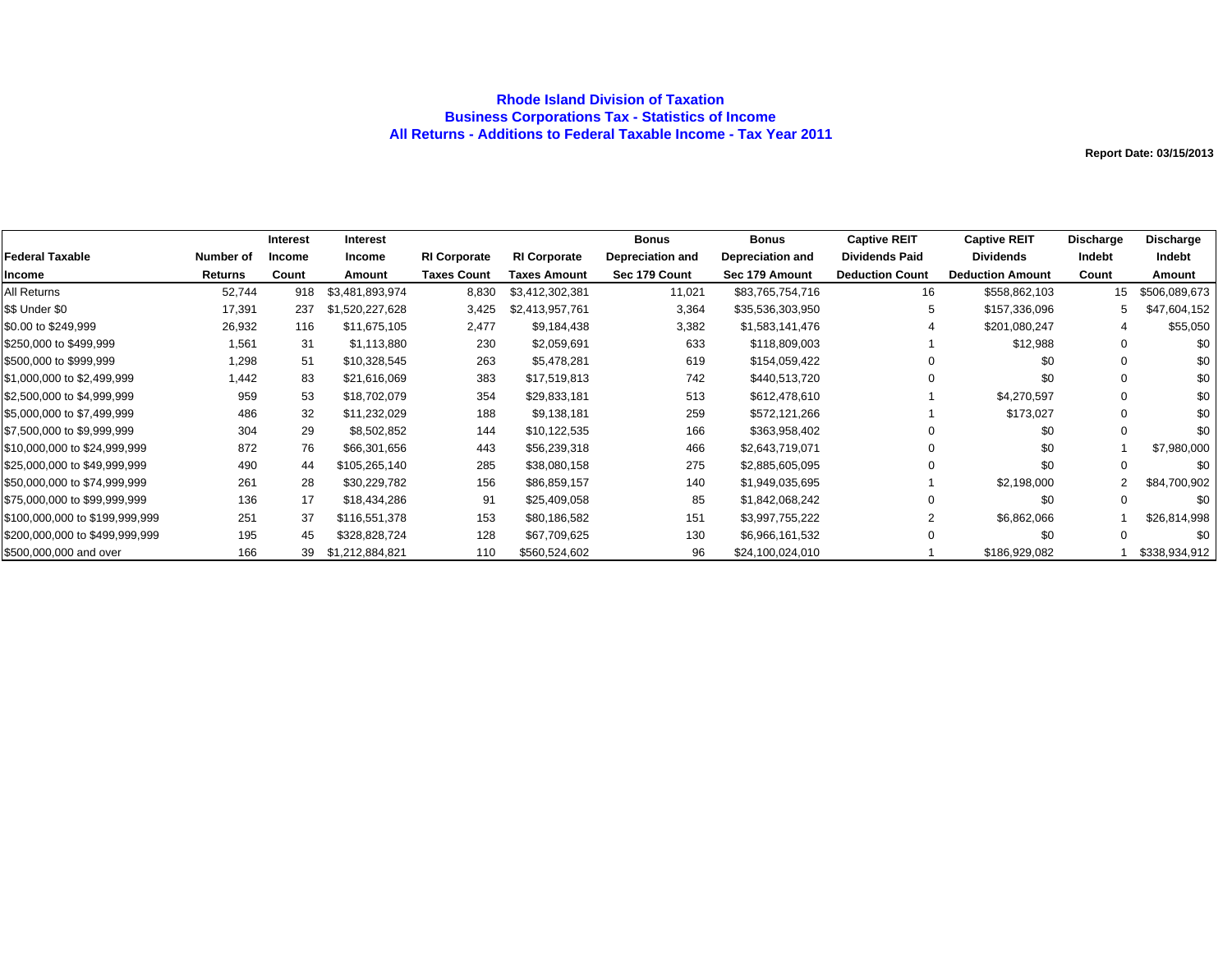### **Rhode Island Division of Taxation Business Corporations Tax - Statistics of Income All Returns - Additions to Federal Taxable Income - Tax Year 2011**

|                                |                | <b>Interest</b> | <b>Interest</b> |                     |                     | <b>Bonus</b>            | <b>Bonus</b>            | <b>Captive REIT</b>    | <b>Captive REIT</b>     | Discharge      | <b>Discharge</b> |
|--------------------------------|----------------|-----------------|-----------------|---------------------|---------------------|-------------------------|-------------------------|------------------------|-------------------------|----------------|------------------|
| <b>Federal Taxable</b>         | Number of      | <b>Income</b>   | <b>Income</b>   | <b>RI Corporate</b> | <b>RI Corporate</b> | <b>Depreciation and</b> | <b>Depreciation and</b> | <b>Dividends Paid</b>  | <b>Dividends</b>        | Indebt         | Indebt           |
| Income                         | <b>Returns</b> | Count           | Amount          | <b>Taxes Count</b>  | Taxes Amount        | Sec 179 Count           | Sec 179 Amount          | <b>Deduction Count</b> | <b>Deduction Amount</b> | Count          | Amount           |
| All Returns                    | 52,744         | 918             | \$3,481,893,974 | 8,830               | \$3,412,302,381     | 11,021                  | \$83,765,754,716        | 16                     | \$558,862,103           | 15             | \$506,089,673    |
| \$\$ Under \$0                 | 17,391         | 237             | \$1,520,227,628 | 3,425               | \$2,413,957,761     | 3,364                   | \$35,536,303,950        | 5                      | \$157,336,096           | 5              | \$47,604,152     |
| \$0.00 to \$249,999            | 26,932         | 116             | \$11,675,105    | 2,477               | \$9,184,438         | 3,382                   | \$1,583,141,476         |                        | \$201,080,247           | 4              | \$55,050         |
| \$250,000 to \$499,999         | 1,561          | 31              | \$1,113,880     | 230                 | \$2,059,691         | 633                     | \$118,809,003           |                        | \$12,988                | $\Omega$       | \$0              |
| \$500,000 to \$999,999         | 1,298          | 51              | \$10,328,545    | 263                 | \$5,478,281         | 619                     | \$154,059,422           |                        | \$0                     |                | \$0              |
| \$1,000,000 to \$2,499,999     | 1,442          | 83              | \$21,616,069    | 383                 | \$17,519,813        | 742                     | \$440,513,720           |                        | \$0                     |                | \$0              |
| \$2,500,000 to \$4,999,999     | 959            | 53              | \$18,702,079    | 354                 | \$29,833,181        | 513                     | \$612,478,610           |                        | \$4,270,597             |                | \$0              |
| \$5,000,000 to \$7,499,999     | 486            | 32              | \$11,232,029    | 188                 | \$9,138,181         | 259                     | \$572,121,266           |                        | \$173,027               | ∩              | \$0              |
| \$7,500,000 to \$9,999,999     | 304            | 29              | \$8,502,852     | 144                 | \$10,122,535        | 166                     | \$363,958,402           | $\Omega$               | \$0                     |                | \$0              |
| \$10,000,000 to \$24,999,999   | 872            | 76              | \$66,301,656    | 443                 | \$56,239,318        | 466                     | \$2,643,719,071         | $\Omega$               | \$0                     |                | \$7,980,000      |
| \$25,000,000 to \$49,999,999   | 490            | 44              | \$105,265,140   | 285                 | \$38,080,158        | 275                     | \$2,885,605,095         | $\Omega$               | \$0                     | $\Omega$       | \$0              |
| \$50,000,000 to \$74,999.999   | 261            | 28              | \$30,229,782    | 156                 | \$86,859,157        | 140                     | \$1,949,035,695         |                        | \$2,198,000             | $\overline{2}$ | \$84,700,902     |
| \$75,000,000 to \$99,999,999   | 136            | 17              | \$18,434,286    | 91                  | \$25,409,058        | 85                      | \$1,842,068,242         | $\Omega$               | \$0                     | $\Omega$       | \$0              |
| \$100,000,000 to \$199,999,999 | 251            | 37              | \$116,551,378   | 153                 | \$80,186,582        | 151                     | \$3,997,755,222         |                        | \$6,862,066             |                | \$26,814,998     |
| \$200,000,000 to \$499,999,999 | 195            | 45              | \$328,828,724   | 128                 | \$67,709,625        | 130                     | \$6,966,161,532         | $\Omega$               | \$0                     | 0              | \$0              |
| \$500,000,000 and over         | 166            | 39              | \$1,212,884,821 | 110                 | \$560,524,602       | 96                      | \$24,100,024,010        |                        | \$186,929,082           |                | \$338,934,912    |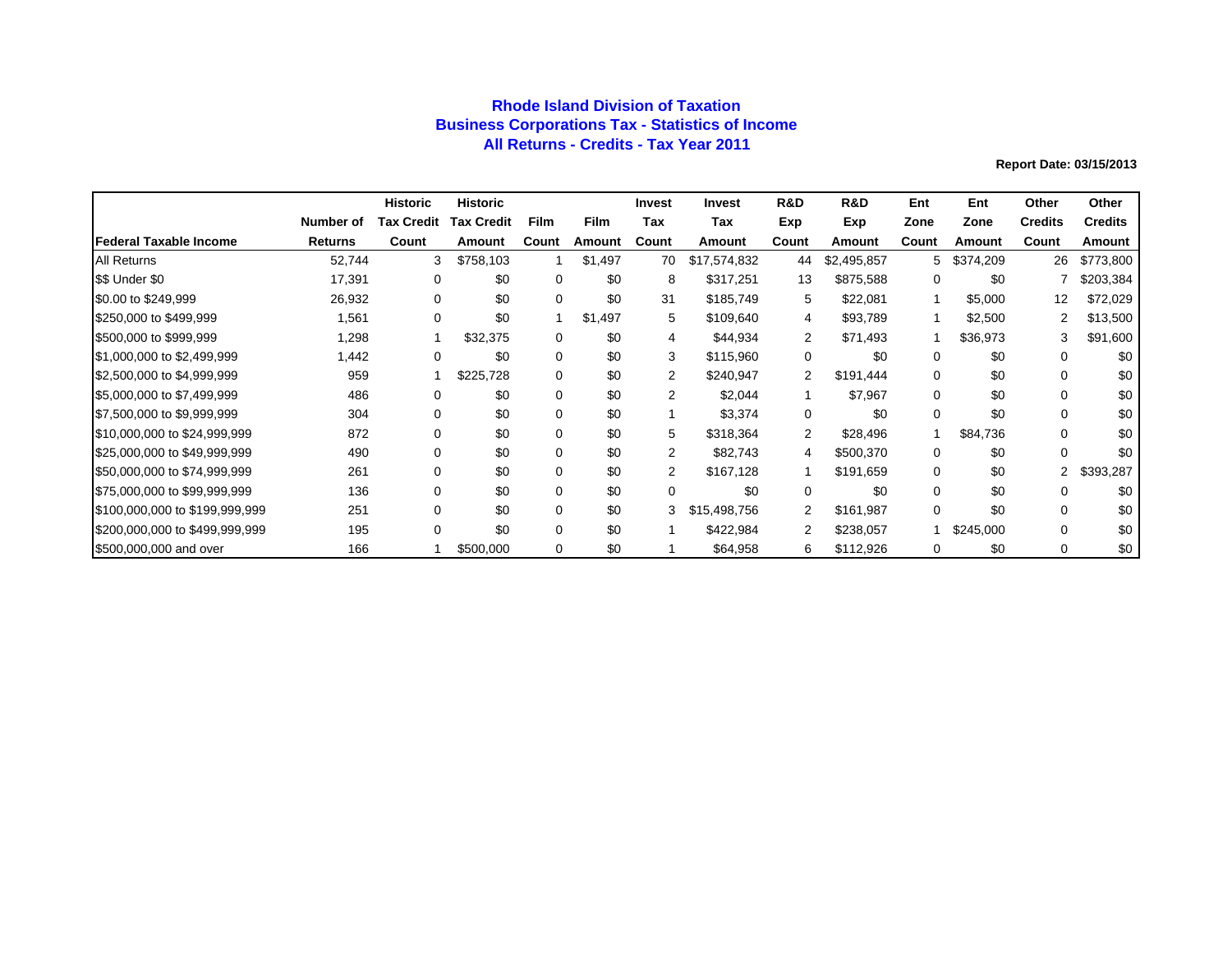## **Rhode Island Division of Taxation Business Corporations Tax - Statistics of Income All Returns - Credits - Tax Year 2011**

|                                |           | <b>Historic</b>   | <b>Historic</b>   |             |         | Invest         | <b>Invest</b> | R&D            | R&D         | Ent          | Ent       | Other          | Other          |
|--------------------------------|-----------|-------------------|-------------------|-------------|---------|----------------|---------------|----------------|-------------|--------------|-----------|----------------|----------------|
|                                | Number of | <b>Tax Credit</b> | <b>Tax Credit</b> | <b>Film</b> | Film    | Tax            | Tax           | Exp            | Exp         | Zone         | Zone      | <b>Credits</b> | <b>Credits</b> |
| lFederal Taxable Income        | Returns   | Count             | Amount            | Count       | Amount  | Count          | Amount        | Count          | Amount      | Count        | Amount    | Count          | Amount         |
| <b>All Returns</b>             | 52,744    | 3                 | \$758,103         |             | \$1,497 | 70             | \$17,574,832  | 44             | \$2,495,857 | 5.           | \$374,209 | 26             | \$773,800      |
| \$\$ Under \$0                 | 17,391    | 0                 | \$0               | $\Omega$    | \$0     | 8              | \$317,251     | 13             | \$875,588   | 0            | \$0       |                | \$203,384      |
| \$0.00 to \$249,999            | 26,932    | 0                 | \$0               | 0           | \$0     | 31             | \$185,749     | 5              | \$22,081    | $\mathbf{1}$ | \$5,000   | 12             | \$72,029       |
| \$250,000 to \$499,999         | 1,561     | 0                 | \$0               |             | \$1,497 | 5              | \$109,640     | 4              | \$93,789    |              | \$2,500   | 2              | \$13,500       |
| \$500,000 to \$999,999         | 1,298     |                   | \$32,375          | 0           | \$0     | 4              | \$44,934      | 2              | \$71,493    |              | \$36,973  | 3              | \$91,600       |
| \$1,000,000 to \$2,499,999     | 1,442     | 0                 | \$0               | 0           | \$0     | 3              | \$115,960     | 0              | \$0         | 0            | \$0       | 0              | \$0            |
| \$2,500,000 to \$4,999,999     | 959       |                   | \$225,728         | 0           | \$0     | 2              | \$240,947     | $\overline{2}$ | \$191,444   | 0            | \$0       | 0              | \$0            |
| \$5,000,000 to \$7,499,999     | 486       | $\Omega$          | \$0               | $\Omega$    | \$0     | 2              | \$2,044       |                | \$7,967     | 0            | \$0       | $\Omega$       | \$0            |
| \$7,500,000 to \$9,999,999     | 304       | $\Omega$          | \$0               | $\Omega$    | \$0     |                | \$3,374       | 0              | \$0         | $\mathbf 0$  | \$0       | $\Omega$       | \$0            |
| \$10,000,000 to \$24,999,999   | 872       | $\Omega$          | \$0               | $\Omega$    | \$0     | 5              | \$318,364     | 2              | \$28,496    |              | \$84,736  | $\Omega$       | \$0            |
| \$25,000,000 to \$49,999,999   | 490       | $\Omega$          | \$0               | 0           | \$0     | $\overline{2}$ | \$82,743      | 4              | \$500,370   | 0            | \$0       | $\Omega$       | \$0            |
| \$50,000,000 to \$74,999,999   | 261       | 0                 | \$0               | 0           | \$0     | $\overline{2}$ | \$167,128     |                | \$191,659   | 0            | \$0       | 2              | \$393,287      |
| \$75,000,000 to \$99,999,999   | 136       | $\Omega$          | \$0               | 0           | \$0     | $\Omega$       | \$0           | 0              | \$0         | 0            | \$0       | 0              | \$0            |
| \$100,000,000 to \$199,999,999 | 251       | $\Omega$          | \$0               | $\Omega$    | \$0     | 3              | \$15,498,756  | 2              | \$161.987   | 0            | \$0       | $\Omega$       | \$0            |
| \$200,000,000 to \$499,999,999 | 195       | 0                 | \$0               | 0           | \$0     |                | \$422,984     | 2              | \$238,057   |              | \$245,000 | $\Omega$       | \$0            |
| \$500,000,000 and over         | 166       |                   | \$500,000         | $\Omega$    | \$0     |                | \$64,958      | 6              | \$112,926   | 0            | \$0       | $\Omega$       | \$0            |